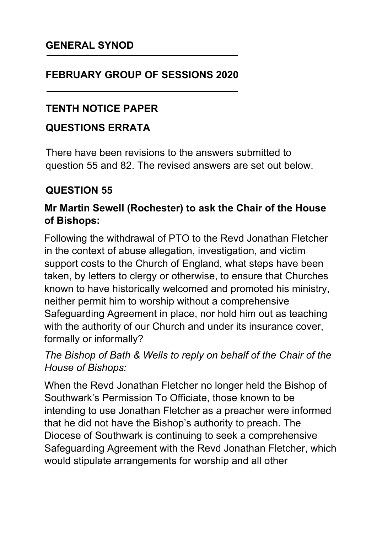## **FEBRUARY GROUP OF SESSIONS 2020**

## **TENTH NOTICE PAPER**

## **QUESTIONS ERRATA**

There have been revisions to the answers submitted to question 55 and 82. The revised answers are set out below.

# **QUESTION 55**

## **Mr Martin Sewell (Rochester) to ask the Chair of the House of Bishops:**

Following the withdrawal of PTO to the Revd Jonathan Fletcher in the context of abuse allegation, investigation, and victim support costs to the Church of England, what steps have been taken, by letters to clergy or otherwise, to ensure that Churches known to have historically welcomed and promoted his ministry, neither permit him to worship without a comprehensive Safeguarding Agreement in place, nor hold him out as teaching with the authority of our Church and under its insurance cover, formally or informally?

#### *The Bishop of Bath & Wells to reply on behalf of the Chair of the House of Bishops:*

When the Revd Jonathan Fletcher no longer held the Bishop of Southwark's Permission To Officiate, those known to be intending to use Jonathan Fletcher as a preacher were informed that he did not have the Bishop's authority to preach. The Diocese of Southwark is continuing to seek a comprehensive Safeguarding Agreement with the Revd Jonathan Fletcher, which would stipulate arrangements for worship and all other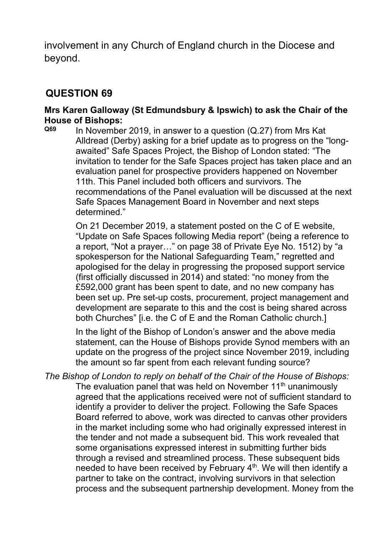involvement in any Church of England church in the Diocese and beyond.

#### **QUESTION 69**

# **Mrs Karen Galloway (St Edmundsbury & Ipswich) to ask the Chair of the House of Bishops:**

**Q69** In November 2019, in answer to a question (Q.27) from Mrs Kat Alldread (Derby) asking for a brief update as to progress on the "longawaited" Safe Spaces Project, the Bishop of London stated: "The invitation to tender for the Safe Spaces project has taken place and an evaluation panel for prospective providers happened on November 11th. This Panel included both officers and survivors. The recommendations of the Panel evaluation will be discussed at the next Safe Spaces Management Board in November and next steps determined."

On 21 December 2019, a statement posted on the C of E website, "Update on Safe Spaces following Media report" (being a reference to a report, "Not a prayer…" on page 38 of Private Eye No. 1512) by "a spokesperson for the National Safeguarding Team," regretted and apologised for the delay in progressing the proposed support service (first officially discussed in 2014) and stated: "no money from the £592,000 grant has been spent to date, and no new company has been set up. Pre set-up costs, procurement, project management and development are separate to this and the cost is being shared across both Churches" [i.e. the C of E and the Roman Catholic church.]

In the light of the Bishop of London's answer and the above media statement, can the House of Bishops provide Synod members with an update on the progress of the project since November 2019, including the amount so far spent from each relevant funding source?

*The Bishop of London to reply on behalf of the Chair of the House of Bishops:* The evaluation panel that was held on November 11<sup>th</sup> unanimously agreed that the applications received were not of sufficient standard to identify a provider to deliver the project. Following the Safe Spaces Board referred to above, work was directed to canvas other providers in the market including some who had originally expressed interest in the tender and not made a subsequent bid. This work revealed that some organisations expressed interest in submitting further bids through a revised and streamlined process. These subsequent bids needed to have been received by February 4<sup>th</sup>. We will then identify a partner to take on the contract, involving survivors in that selection process and the subsequent partnership development. Money from the